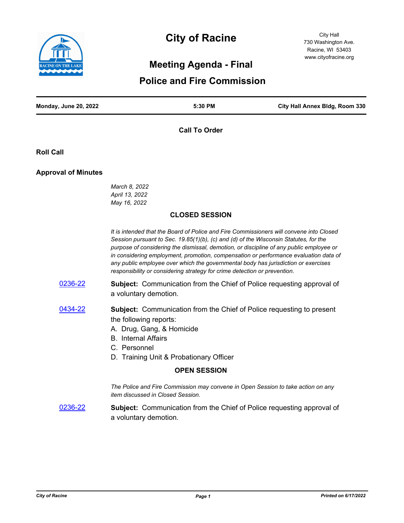

# **City of Racine**

City Hall 730 Washington Ave. Racine, WI 53403 www.cityofracine.org

# **Meeting Agenda - Final**

# **Police and Fire Commission**

| <b>Monday, June 20, 2022</b> | 5:30 PM | City Hall Annex Bldg, Room 330 |
|------------------------------|---------|--------------------------------|
|                              |         |                                |

**Call To Order**

**Roll Call**

#### **Approval of Minutes**

*March 8, 2022 April 13, 2022 May 16, 2022*

#### **CLOSED SESSION**

*It is intended that the Board of Police and Fire Commissioners will convene into Closed Session pursuant to Sec. 19.85(1)(b), (c) and (d) of the Wisconsin Statutes, for the purpose of considering the dismissal, demotion, or discipline of any public employee or in considering employment, promotion, compensation or performance evaluation data of any public employee over which the governmental body has jurisdiction or exercises responsibility or considering strategy for crime detection or prevention.*

- [0236-22](http://cityofracine.legistar.com/gateway.aspx?m=l&id=/matter.aspx?key=33400) **Subject:** Communication from the Chief of Police requesting approval of a voluntary demotion.
- [0434-22](http://cityofracine.legistar.com/gateway.aspx?m=l&id=/matter.aspx?key=33622) **Subject:** Communication from the Chief of Police requesting to present the following reports:
	- A. Drug, Gang, & Homicide
	- B. Internal Affairs
	- C. Personnel
	- D. Training Unit & Probationary Officer

#### **OPEN SESSION**

*The Police and Fire Commission may convene in Open Session to take action on any item discussed in Closed Session.*

[0236-22](http://cityofracine.legistar.com/gateway.aspx?m=l&id=/matter.aspx?key=33400) **Subject:** Communication from the Chief of Police requesting approval of a voluntary demotion.